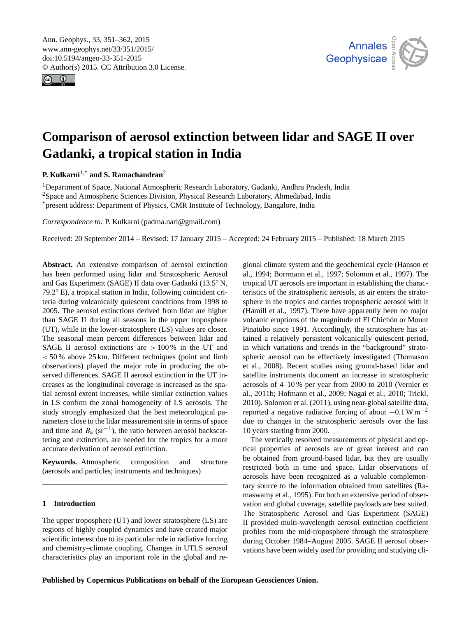<span id="page-0-1"></span>Ann. Geophys., 33, 351–362, 2015 www.ann-geophys.net/33/351/2015/ doi:10.5194/angeo-33-351-2015 © Author(s) 2015. CC Attribution 3.0 License.





# **Comparison of aerosol extinction between lidar and SAGE II over Gadanki, a tropical station in India**

**P. Kulkarni**[1,\\*](#page-0-0) **and S. Ramachandran**[2](#page-0-0)

<sup>1</sup>Department of Space, National Atmospheric Research Laboratory, Gadanki, Andhra Pradesh, India <sup>2</sup>Space and Atmospheric Sciences Division, Physical Research Laboratory, Ahmedabad, India \*present address: Department of Physics, CMR Institute of Technology, Bangalore, India

*Correspondence to:* P. Kulkarni (padma.narl@gmail.com)

Received: 20 September 2014 – Revised: 17 January 2015 – Accepted: 24 February 2015 – Published: 18 March 2015

<span id="page-0-0"></span>**Abstract.** An extensive comparison of aerosol extinction has been performed using lidar and Stratospheric Aerosol and Gas Experiment (SAGE) II data over Gadanki (13.5◦ N, 79.2◦ E), a tropical station in India, following coincident criteria during volcanically quiescent conditions from 1998 to 2005. The aerosol extinctions derived from lidar are higher than SAGE II during all seasons in the upper troposphere (UT), while in the lower-stratosphere (LS) values are closer. The seasonal mean percent differences between lidar and SAGE II aerosol extinctions are  $>100\%$  in the UT and  $< 50\%$  above 25 km. Different techniques (point and limb observations) played the major role in producing the observed differences. SAGE II aerosol extinction in the UT increases as the longitudinal coverage is increased as the spatial aerosol extent increases, while similar extinction values in LS confirm the zonal homogeneity of LS aerosols. The study strongly emphasized that the best meteorological parameters close to the lidar measurement site in terms of space and time and  $B_a$  (sr<sup>-1</sup>), the ratio between aerosol backscattering and extinction, are needed for the tropics for a more accurate derivation of aerosol extinction.

**Keywords.** Atmospheric composition and structure (aerosols and particles; instruments and techniques)

## **1 Introduction**

The upper troposphere (UT) and lower stratosphere (LS) are regions of highly coupled dynamics and have created major scientific interest due to its particular role in radiative forcing and chemistry–climate coupling. Changes in UTLS aerosol characteristics play an important role in the global and re-

gional climate system and the geochemical cycle (Hanson et al., 1994; Borrmann et al., 1997; Solomon et al., 1997). The tropical UT aerosols are important in establishing the characteristics of the stratospheric aerosols, as air enters the stratosphere in the tropics and carries tropospheric aerosol with it (Hamill et al., 1997). There have apparently been no major volcanic eruptions of the magnitude of El Chichón or Mount Pinatubo since 1991. Accordingly, the stratosphere has attained a relatively persistent volcanically quiescent period, in which variations and trends in the "background" stratospheric aerosol can be effectively investigated (Thomason et al., 2008). Recent studies using ground-based lidar and satellite instruments document an increase in stratospheric aerosols of 4–10 % per year from 2000 to 2010 (Vernier et al., 2011b; Hofmann et al., 2009; Nagai et al., 2010; Trickl, 2010). Solomon et al. (2011), using near-global satellite data, reported a negative radiative forcing of about  $-0.1 \text{ W m}^{-2}$ due to changes in the stratospheric aerosols over the last 10 years starting from 2000.

The vertically resolved measurements of physical and optical properties of aerosols are of great interest and can be obtained from ground-based lidar, but they are usually restricted both in time and space. Lidar observations of aerosols have been recognized as a valuable complementary source to the information obtained from satellites (Ramaswamy et al., 1995). For both an extensive period of observation and global coverage, satellite payloads are best suited. The Stratospheric Aerosol and Gas Experiment (SAGE) II provided multi-wavelength aerosol extinction coefficient profiles from the mid-troposphere through the stratosphere during October 1984–August 2005. SAGE II aerosol observations have been widely used for providing and studying cli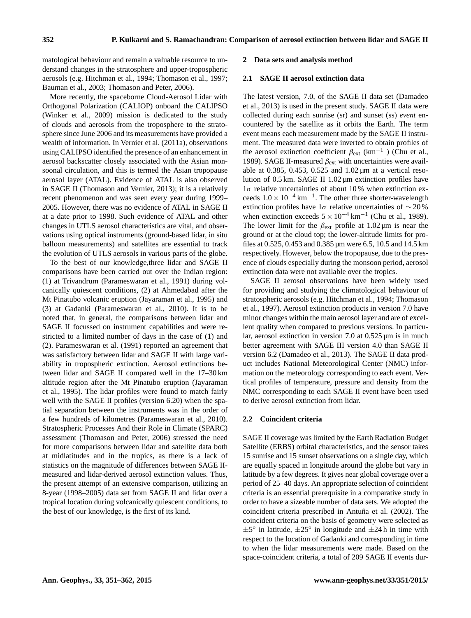matological behaviour and remain a valuable resource to understand changes in the stratosphere and upper-tropospheric aerosols (e.g. Hitchman et al., 1994; Thomason et al., 1997; Bauman et al., 2003; Thomason and Peter, 2006).

More recently, the spaceborne Cloud-Aerosol Lidar with Orthogonal Polarization (CALIOP) onboard the CALIPSO (Winker et al., 2009) mission is dedicated to the study of clouds and aerosols from the troposphere to the stratosphere since June 2006 and its measurements have provided a wealth of information. In Vernier et al. (2011a), observations using CALIPSO identified the presence of an enhancement in aerosol backscatter closely associated with the Asian monsoonal circulation, and this is termed the Asian tropopause aerosol layer (ATAL). Evidence of ATAL is also observed in SAGE II (Thomason and Vernier, 2013); it is a relatively recent phenomenon and was seen every year during 1999– 2005. However, there was no evidence of ATAL in SAGE II at a date prior to 1998. Such evidence of ATAL and other changes in UTLS aerosol characteristics are vital, and observations using optical instruments (ground-based lidar, in situ balloon measurements) and satellites are essential to track the evolution of UTLS aerosols in various parts of the globe.

To the best of our knowledge,three lidar and SAGE II comparisons have been carried out over the Indian region: (1) at Trivandrum (Parameswaran et al., 1991) during volcanically quiescent conditions, (2) at Ahmedabad after the Mt Pinatubo volcanic eruption (Jayaraman et al., 1995) and (3) at Gadanki (Parameswaran et al., 2010). It is to be noted that, in general, the comparisons between lidar and SAGE II focussed on instrument capabilities and were restricted to a limited number of days in the case of (1) and (2). Parameswaran et al. (1991) reported an agreement that was satisfactory between lidar and SAGE II with large variability in tropospheric extinction. Aerosol extinctions between lidar and SAGE II compared well in the 17–30 km altitude region after the Mt Pinatubo eruption (Jayaraman et al., 1995). The lidar profiles were found to match fairly well with the SAGE II profiles (version 6.20) when the spatial separation between the instruments was in the order of a few hundreds of kilometres (Parameswaran et al., 2010). Stratospheric Processes And their Role in Climate (SPARC) assessment (Thomason and Peter, 2006) stressed the need for more comparisons between lidar and satellite data both at midlatitudes and in the tropics, as there is a lack of statistics on the magnitude of differences between SAGE IImeasured and lidar-derived aerosol extinction values. Thus, the present attempt of an extensive comparison, utilizing an 8-year (1998–2005) data set from SAGE II and lidar over a tropical location during volcanically quiescent conditions, to the best of our knowledge, is the first of its kind.

#### **2 Data sets and analysis method**

## **2.1 SAGE II aerosol extinction data**

The latest version, 7.0, of the SAGE II data set (Damadeo et al., 2013) is used in the present study. SAGE II data were collected during each sunrise (sr) and sunset (ss) *event* encountered by the satellite as it orbits the Earth. The term event means each measurement made by the SAGE II instrument. The measured data were inverted to obtain profiles of the aerosol extinction coefficient  $\beta_{ext}$  (km<sup>-1</sup>) (Chu et al., 1989). SAGE II-measured  $\beta_{\text{ext}}$  with uncertainties were available at 0.385, 0.453, 0.525 and 1.02 µm at a vertical resolution of 0.5 km. SAGE II 1.02 µm extinction profiles have  $1\sigma$  relative uncertainties of about 10% when extinction exceeds  $1.0 \times 10^{-4}$  km<sup>-1</sup>. The other three shorter-wavelength extinction profiles have  $1\sigma$  relative uncertainties of ~20% when extinction exceeds  $5 \times 10^{-4}$  km<sup>-1</sup> (Chu et al., 1989). The lower limit for the  $\beta_{ext}$  profile at 1.02 µm is near the ground or at the cloud top; the lower-altitude limits for profiles at 0.525, 0.453 and 0.385 µm were 6.5, 10.5 and 14.5 km respectively. However, below the tropopause, due to the presence of clouds especially during the monsoon period, aerosol extinction data were not available over the tropics.

SAGE II aerosol observations have been widely used for providing and studying the climatological behaviour of stratospheric aerosols (e.g. Hitchman et al., 1994; Thomason et al., 1997). Aerosol extinction products in version 7.0 have minor changes within the main aerosol layer and are of excellent quality when compared to previous versions. In particular, aerosol extinction in version 7.0 at 0.525 µm is in much better agreement with SAGE III version 4.0 than SAGE II version 6.2 (Damadeo et al., 2013). The SAGE II data product includes National Meteorological Center (NMC) information on the meteorology corresponding to each event. Vertical profiles of temperature, pressure and density from the NMC corresponding to each SAGE II event have been used to derive aerosol extinction from lidar.

## **2.2 Coincident criteria**

SAGE II coverage was limited by the Earth Radiation Budget Satellite (ERBS) orbital characteristics, and the sensor takes 15 sunrise and 15 sunset observations on a single day, which are equally spaced in longitude around the globe but vary in latitude by a few degrees. It gives near global coverage over a period of 25–40 days. An appropriate selection of coincident criteria is an essential prerequisite in a comparative study in order to have a sizeable number of data sets. We adopted the coincident criteria prescribed in Antuña et al. (2002). The coincident criteria on the basis of geometry were selected as  $\pm 5^{\circ}$  in latitude,  $\pm 25^{\circ}$  in longitude and  $\pm 24$  h in time with respect to the location of Gadanki and corresponding in time to when the lidar measurements were made. Based on the space-coincident criteria, a total of 209 SAGE II events dur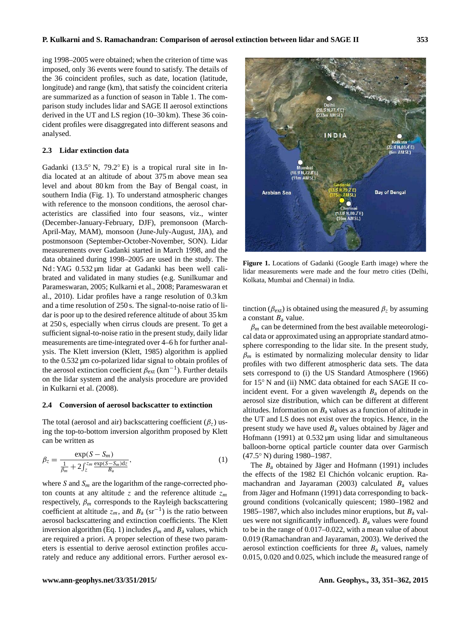ing 1998–2005 were obtained; when the criterion of time was imposed, only 36 events were found to satisfy. The details of the 36 coincident profiles, such as date, location (latitude, longitude) and range (km), that satisfy the coincident criteria are summarized as a function of season in Table 1. The comparison study includes lidar and SAGE II aerosol extinctions derived in the UT and LS region (10–30 km). These 36 coincident profiles were disaggregated into different seasons and analysed.

## **2.3 Lidar extinction data**

Gadanki (13.5◦ N, 79.2◦ E) is a tropical rural site in India located at an altitude of about 375 m above mean sea level and about 80 km from the Bay of Bengal coast, in southern India (Fig. 1). To understand atmospheric changes with reference to the monsoon conditions, the aerosol characteristics are classified into four seasons, viz., winter (December-January-February, DJF), premonsoon (March-April-May, MAM), monsoon (June-July-August, JJA), and postmonsoon (September-October-November, SON). Lidar measurements over Gadanki started in March 1998, and the data obtained during 1998–2005 are used in the study. The Nd : YAG  $0.532 \mu m$  lidar at Gadanki has been well calibrated and validated in many studies (e.g. Sunilkumar and Parameswaran, 2005; Kulkarni et al., 2008; Parameswaran et al., 2010). Lidar profiles have a range resolution of 0.3 km and a time resolution of 250 s. The signal-to-noise ratio of lidar is poor up to the desired reference altitude of about 35 km at 250 s, especially when cirrus clouds are present. To get a sufficient signal-to-noise ratio in the present study, daily lidar measurements are time-integrated over 4–6 h for further analysis. The Klett inversion (Klett, 1985) algorithm is applied to the 0.532 µm co-polarized lidar signal to obtain profiles of the aerosol extinction coefficient  $\beta_{\rm ext}$  (km<sup>-1</sup>). Further details on the lidar system and the analysis procedure are provided in Kulkarni et al. (2008).

#### **2.4 Conversion of aerosol backscatter to extinction**

The total (aerosol and air) backscattering coefficient  $(\beta_z)$  using the top-to-bottom inversion algorithm proposed by Klett can be written as

$$
\beta_z = \frac{\exp(S - S_m)}{\frac{1}{\beta_m} + 2\int_z^{z_m} \frac{\exp(S - S_m)\mathrm{d}z}{B_a}},\tag{1}
$$

where S and  $S_m$  are the logarithm of the range-corrected photon counts at any altitude z and the reference altitude  $z_m$ respectively,  $\beta_m$  corresponds to the Rayleigh backscattering coefficient at altitude  $z_m$ , and  $B_a$  (sr<sup>-1</sup>) is the ratio between aerosol backscattering and extinction coefficients. The Klett inversion algorithm (Eq. 1) includes  $\beta_m$  and  $B_a$  values, which are required a priori. A proper selection of these two parameters is essential to derive aerosol extinction profiles accurately and reduce any additional errors. Further aerosol ex-



**Figure 1.** Locations of Gadanki (Google Earth image) where the lidar measurements were made and the four metro cities (Delhi, Kolkata, Mumbai and Chennai) in India.

tinction ( $\beta_{ext}$ ) is obtained using the measured  $\beta_z$  by assuming a constant  $B_a$  value.

 $\beta_m$  can be determined from the best available meteorological data or approximated using an appropriate standard atmosphere corresponding to the lidar site. In the present study,  $\beta_m$  is estimated by normalizing molecular density to lidar profiles with two different atmospheric data sets. The data sets correspond to (i) the US Standard Atmosphere (1966) for 15<sup>°</sup> N and (ii) NMC data obtained for each SAGE II coincident event. For a given wavelength  $B<sub>a</sub>$  depends on the aerosol size distribution, which can be different at different altitudes. Information on  $B_a$  values as a function of altitude in the UT and LS does not exist over the tropics. Hence, in the present study we have used  $B_a$  values obtained by Jäger and Hofmann (1991) at  $0.532 \mu m$  using lidar and simultaneous balloon-borne optical particle counter data over Garmisch (47.5◦ N) during 1980–1987.

The  $B_a$  obtained by Jäger and Hofmann (1991) includes the effects of the 1982 El Chichón volcanic eruption. Ramachandran and Jayaraman (2003) calculated  $B_a$  values from Jäger and Hofmann (1991) data corresponding to background conditions (volcanically quiescent; 1980–1982 and 1985–1987, which also includes minor eruptions, but  $B<sub>a</sub>$  values were not significantly influenced).  $B<sub>a</sub>$  values were found to be in the range of 0.017–0.022, with a mean value of about 0.019 (Ramachandran and Jayaraman, 2003). We derived the aerosol extinction coefficients for three  $B<sub>a</sub>$  values, namely 0.015, 0.020 and 0.025, which include the measured range of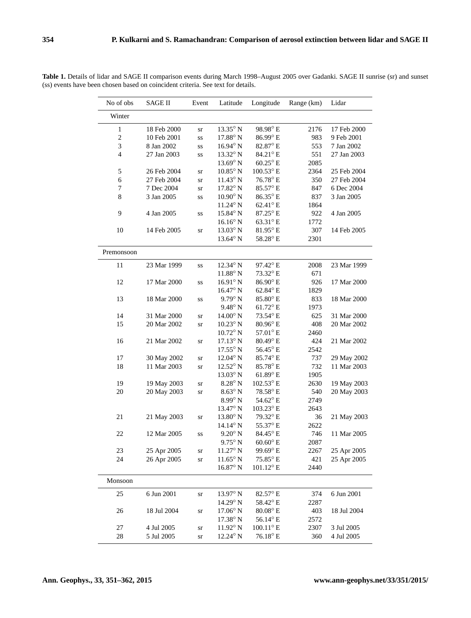| No of obs      | <b>SAGE II</b> | Event            | Latitude          | Longitude          | Range (km) | Lidar       |
|----------------|----------------|------------------|-------------------|--------------------|------------|-------------|
| Winter         |                |                  |                   |                    |            |             |
| $\,1$          | 18 Feb 2000    | sr               | 13.35° N          | 98.98°E            | 2176       | 17 Feb 2000 |
| $\sqrt{2}$     | 10 Feb 2001    | SS               | $17.88^\circ$ N   | 86.99°E            | 983        | 9 Feb 2001  |
| 3              | 8 Jan 2002     | SS               | $16.94^{\circ}$ N | 82.87° E           | 553        | 7 Jan 2002  |
| $\overline{4}$ | 27 Jan 2003    | SS               | 13.32° N          | 84.21°E            | 551        | 27 Jan 2003 |
|                |                |                  | $13.69^\circ$ N   | $60.25^{\circ}$ E  | 2085       |             |
| 5              | 26 Feb 2004    | ${\rm S}{\rm T}$ | $10.85^{\circ}$ N | $100.53^{\circ}$ E | 2364       | 25 Feb 2004 |
| 6              | 27 Feb 2004    | sr               | $11.43^\circ$ N   | 76.78°E            | 350        | 27 Feb 2004 |
| 7              | 7 Dec 2004     | ${\rm sr}$       | $17.82^{\circ}$ N | 85.57° E           | 847        | 6 Dec 2004  |
| $\,$ 8 $\,$    | 3 Jan 2005     | SS               | $10.90^\circ$ N   | 86.35°E            | 837        | 3 Jan 2005  |
|                |                |                  | $11.24^{\circ}$ N | 62.41°E            | 1864       |             |
| 9              | 4 Jan 2005     | SS               | 15.84° N          | 87.25° E           | 922        | 4 Jan 2005  |
|                |                |                  | $16.16^{\circ}$ N | 63.31°E            | 1772       |             |
| 10             | 14 Feb 2005    | ${\rm sr}$       | $13.03^\circ$ N   | 81.95°E            | 307        | 14 Feb 2005 |
|                |                |                  | 13.64° N          | 58.28° E           | 2301       |             |
| Premonsoon     |                |                  |                   |                    |            |             |
| 11             | 23 Mar 1999    | SS               | 12.34° N          | 97.42° E           | 2008       | 23 Mar 1999 |
|                |                |                  | $11.88^\circ$ N   | 73.32° E           | 671        |             |
| 12             | 17 Mar 2000    | SS               | $16.91^\circ$ N   | $86.90^\circ$ E    | 926        | 17 Mar 2000 |
|                |                |                  | $16.47^\circ$ N   | 62.84° E           | 1829       |             |
| 13             | 18 Mar 2000    | SS               | $9.79^{\circ}$ N  | 85.80°E            | 833        | 18 Mar 2000 |
|                |                |                  | $9.48^{\circ}$ N  | $61.72^{\circ}$ E  | 1973       |             |
| 14             | 31 Mar 2000    | sr               | $14.00^\circ$ N   | 73.54° E           | 625        | 31 Mar 2000 |
| 15             | 20 Mar 2002    | sr               | $10.23^\circ$ N   | $80.96^{\circ}$ E  | 408        | 20 Mar 2002 |
|                |                |                  | $10.72^{\circ}$ N | 57.01°E            | 2460       |             |
| 16             | 21 Mar 2002    | sr               | $17.13^\circ$ N   | $80.49^{\circ}$ E  | 424        | 21 Mar 2002 |
|                |                |                  | $17.55^{\circ}$ N | 56.45°E            | 2542       |             |
| 17             | 30 May 2002    | ${\rm sr}$       | $12.04^{\circ}$ N | 85.74° E           | 737        | 29 May 2002 |
| 18             | 11 Mar 2003    | ${\rm sr}$       | $12.52^{\circ}$ N | 85.78°E            | 732        | 11 Mar 2003 |
|                |                |                  | $13.03^{\circ}$ N | $61.89^{\circ}$ E  | 1905       |             |
| 19             | 19 May 2003    | sr               | $8.28^{\circ}$ N  | $102.53^{\circ}$ E | 2630       | 19 May 2003 |
| 20             | 20 May 2003    | sr               | $8.63^{\circ}$ N  | 78.58°E            | 540        | 20 May 2003 |
|                |                |                  | $8.99^\circ$ N    | 54.62° E           | 2749       |             |
|                |                |                  | 13.47° N          | 103.23° E          | 2643       |             |
| 21             | 21 May 2003    | ${\rm sr}$       | $13.80^\circ$ N   | 79.32° E           | 36         | 21 May 2003 |
|                |                |                  | $14.14^{\circ}$ N | 55.37° E           | 2622       |             |
| 22             | 12 Mar 2005    | SS               | $9.20^{\circ}$ N  | 84.45°E            | 746        | 11 Mar 2005 |
|                |                |                  | $9.75^{\circ}$ N  | $60.60^{\circ}$ E  | 2087       |             |
| 23             | 25 Apr 2005    | ${\rm sr}$       | $11.27^{\circ}$ N | 99.69°E            | 2267       | 25 Apr 2005 |
| 24             | 26 Apr 2005    | ${\rm sr}$       | $11.65^\circ$ N   | 75.85° E           | 421        | 25 Apr 2005 |
|                |                |                  | $16.87^\circ$ N   | $101.12^{\circ}$ E | 2440       |             |
| Monsoon        |                |                  |                   |                    |            |             |
| 25             | 6 Jun 2001     | ${\rm sr}$       | 13.97° N          | 82.57° E           | 374        | 6 Jun 2001  |
|                |                |                  | $14.29^{\circ}$ N | $58.42^{\circ}$ E  | 2287       |             |
| 26             | 18 Jul 2004    | ${\rm S}{\rm T}$ | $17.06^{\circ}$ N | $80.08^{\circ}$ E  | 403        | 18 Jul 2004 |
|                |                |                  | $17.38^{\circ}$ N | 56.14°E            | 2572       |             |
| 27             | 4 Jul 2005     | ${\rm sr}$       | $11.92^\circ$ N   | $100.11^{\circ}$ E | 2307       | 3 Jul 2005  |
| 28             | 5 Jul 2005     | ${\rm sr}$       | $12.24^{\circ}$ N | $76.18^{\circ}$ E  | 360        | 4 Jul 2005  |

**Table 1.** Details of lidar and SAGE II comparison events during March 1998–August 2005 over Gadanki. SAGE II sunrise (sr) and sunset (ss) events have been chosen based on coincident criteria. See text for details.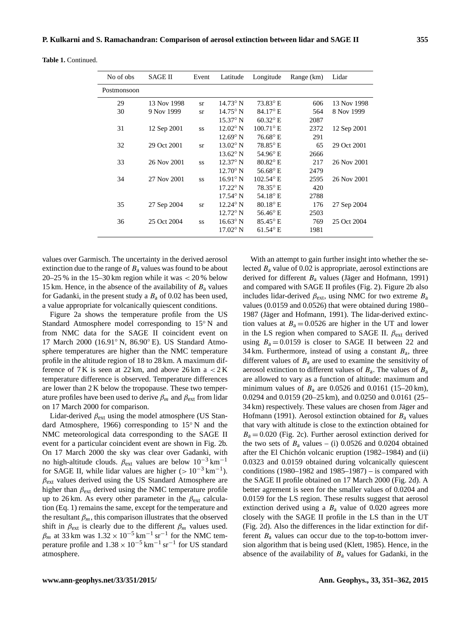| No of obs   | <b>SAGE II</b> | Event     | Latitude          | Longitude          | Range (km) | Lidar       |
|-------------|----------------|-----------|-------------------|--------------------|------------|-------------|
| Postmonsoon |                |           |                   |                    |            |             |
| 29          | 13 Nov 1998    | sr        | $14.73^{\circ}$ N | $73.83^{\circ}$ E  | 606        | 13 Nov 1998 |
| 30          | 9 Nov 1999     | sr        | $14.75^{\circ}$ N | $84.17^{\circ}$ E  | 564        | 8 Nov 1999  |
|             |                |           | $15.37^{\circ}$ N | $60.32^{\circ}$ E  | 2087       |             |
| 31          | 12 Sep 2001    | SS        | $12.02^{\circ}$ N | $100.71^{\circ}$ E | 2372       | 12 Sep 2001 |
|             |                |           | $12.69^{\circ}$ N | $76.68^{\circ}$ E  | 291        |             |
| 32          | 29 Oct 2001    | <b>Sr</b> | $13.02^{\circ}$ N | $78.85^{\circ}$ E  | 65         | 29 Oct 2001 |
|             |                |           | $13.62^{\circ}$ N | 54.96° E           | 2666       |             |
| 33          | 26 Nov 2001    | SS        | $12.37^{\circ}$ N | $80.82$ °E         | 217        | 26 Nov 2001 |
|             |                |           | $12.70^{\circ}$ N | 56.68 $^{\circ}$ E | 2479       |             |
| 34          | 27 Nov 2001    | SS        | $16.91^{\circ}$ N | $102.54^{\circ}$ E | 2595       | 26 Nov 2001 |
|             |                |           | $17.22^{\circ}$ N | $78.35^{\circ}$ E  | 420        |             |
|             |                |           | $17.54^{\circ}$ N | 54.18 $^{\circ}$ E | 2788       |             |
| 35          | 27 Sep 2004    | sr        | $12.24^{\circ}$ N | $80.18^{\circ}$ E  | 176        | 27 Sep 2004 |
|             |                |           | $12.72^{\circ}$ N | $56.46^{\circ}$ E  | 2503       |             |
| 36          | 25 Oct 2004    | SS        | $16.63^\circ$ N   | $85.45^{\circ}$ E  | 769        | 25 Oct 2004 |
|             |                |           | $17.02^{\circ}$ N | $61.54^{\circ}$ E  | 1981       |             |

**Table 1.** Continued.

values over Garmisch. The uncertainty in the derived aerosol extinction due to the range of  $B<sub>a</sub>$  values was found to be about 20–25 % in the 15–30 km region while it was  $<$  20 % below 15 km. Hence, in the absence of the availability of  $B<sub>a</sub>$  values for Gadanki, in the present study a  $B_a$  of 0.02 has been used, a value appropriate for volcanically quiescent conditions.

Figure 2a shows the temperature profile from the US Standard Atmosphere model corresponding to 15◦ N and from NMC data for the SAGE II coincident event on 17 March 2000 (16.91◦ N, 86.90◦ E). US Standard Atmosphere temperatures are higher than the NMC temperature profile in the altitude region of 18 to 28 km. A maximum difference of 7 K is seen at 22 km, and above 26 km a  $\lt$  2 K temperature difference is observed. Temperature differences are lower than 2 K below the tropopause. These two temperature profiles have been used to derive  $\beta_m$  and  $\beta_{ext}$  from lidar on 17 March 2000 for comparison.

Lidar-derived  $\beta_{ext}$  using the model atmosphere (US Standard Atmosphere, 1966) corresponding to 15◦ N and the NMC meteorological data corresponding to the SAGE II event for a particular coincident event are shown in Fig. 2b. On 17 March 2000 the sky was clear over Gadanki, with no high-altitude clouds.  $\beta_{ext}$  values are below  $10^{-3}$  km<sup>-1</sup> for SAGE II, while lidar values are higher  $(> 10^{-3} \text{ km}^{-1})$ .  $\beta$ <sub>ext</sub> values derived using the US Standard Atmosphere are higher than  $\beta_{\text{ext}}$  derived using the NMC temperature profile up to 26 km. As every other parameter in the  $\beta_{\text{ext}}$  calculation (Eq. 1) remains the same, except for the temperature and the resultant  $\beta_m$ , this comparison illustrates that the observed shift in  $\beta_{ext}$  is clearly due to the different  $\beta_m$  values used.  $\beta_m$  at 33 km was  $1.32 \times 10^{-5}$  km<sup>-1</sup> sr<sup>-1</sup> for the NMC temperature profile and  $1.38 \times 10^{-5}$  km<sup>-1</sup> sr<sup>-1</sup> for US standard atmosphere.

With an attempt to gain further insight into whether the selected  $B_a$  value of 0.02 is appropriate, aerosol extinctions are derived for different  $B_a$  values (Jäger and Hofmann, 1991) and compared with SAGE II profiles (Fig. 2). Figure 2b also includes lidar-derived  $\beta_{ext}$ , using NMC for two extreme  $B_a$ values (0.0159 and 0.0526) that were obtained during 1980– 1987 (Jäger and Hofmann, 1991). The lidar-derived extinction values at  $B_a = 0.0526$  are higher in the UT and lower in the LS region when compared to SAGE II.  $\beta_{ext}$  derived using  $B_a = 0.0159$  is closer to SAGE II between 22 and 34 km. Furthermore, instead of using a constant  $B_a$ , three different values of  $B<sub>a</sub>$  are used to examine the sensitivity of aerosol extinction to different values of  $B_a$ . The values of  $B_a$ are allowed to vary as a function of altitude: maximum and minimum values of  $B_a$  are 0.0526 and 0.0161 (15–20 km), 0.0294 and 0.0159 (20–25 km), and 0.0250 and 0.0161 (25– 34 km) respectively. These values are chosen from Jäger and Hofmann (1991). Aerosol extinction obtained for  $B_a$  values that vary with altitude is close to the extinction obtained for  $B_a = 0.020$  (Fig. 2c). Further aerosol extinction derived for the two sets of  $B_a$  values – (i) 0.0526 and 0.0204 obtained after the El Chichón volcanic eruption (1982–1984) and (ii) 0.0323 and 0.0159 obtained during volcanically quiescent conditions (1980–1982 and 1985–1987) – is compared with the SAGE II profile obtained on 17 March 2000 (Fig. 2d). A better agrement is seen for the smaller values of 0.0204 and 0.0159 for the LS region. These results suggest that aerosol extinction derived using a  $B_a$  value of 0.020 agrees more closely with the SAGE II profile in the LS than in the UT (Fig. 2d). Also the differences in the lidar extinction for different  $B_a$  values can occur due to the top-to-bottom inversion algorithm that is being used (Klett, 1985). Hence, in the absence of the availability of  $B<sub>a</sub>$  values for Gadanki, in the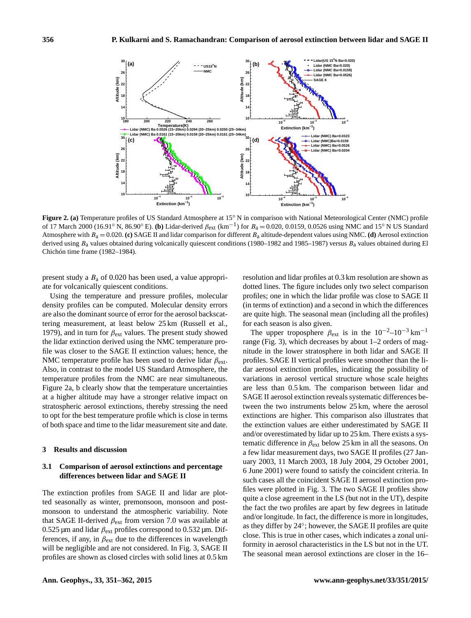

**Figure 2. (a)** Temperature profiles of US Standard Atmosphere at 15° N in comparison with National Meteorological Center (NMC) profile of 17 March 2000 (16.91° N, 86.90° E). (b) Lidar-derived  $\beta_{ext}$  (km<sup>-1</sup>) for  $B_a = 0.020, 0.0159, 0.0526$  using NMC and 15° N US Standard Atmosphere with  $B_a = 0.020$ . **(c)** SAGE II and lidar comparison for different  $B_a$  altitude-dependent values using NMC. **(d)** Aerosol extinction derived using  $B_a$  values obtained during volcanically quiescent conditions (1980–1982 and 1985–1987) versus  $B_a$  values obtained during El Chichón time frame (1982–1984).

present study a  $B_a$  of 0.020 has been used, a value appropriate for volcanically quiescent conditions.

Using the temperature and pressure profiles, molecular density profiles can be computed. Molecular density errors are also the dominant source of error for the aerosol backscattering measurement, at least below 25 km (Russell et al., 1979), and in turn for  $\beta_{ext}$  values. The present study showed the lidar extinction derived using the NMC temperature profile was closer to the SAGE II extinction values; hence, the NMC temperature profile has been used to derive lidar  $\beta_{\text{ext}}$ . Also, in contrast to the model US Standard Atmosphere, the temperature profiles from the NMC are near simultaneous. Figure 2a, b clearly show that the temperature uncertainties at a higher altitude may have a stronger relative impact on stratospheric aerosol extinctions, thereby stressing the need to opt for the best temperature profile which is close in terms of both space and time to the lidar measurement site and date.

## **3 Results and discussion**

# **3.1 Comparison of aerosol extinctions and percentage differences between lidar and SAGE II**

The extinction profiles from SAGE II and lidar are plotted seasonally as winter, premonsoon, monsoon and postmonsoon to understand the atmospheric variability. Note that SAGE II-derived  $\beta_{ext}$  from version 7.0 was available at 0.525 μm and lidar  $β_{ext}$  profiles correspond to 0.532 μm. Differences, if any, in  $\beta_{ext}$  due to the differences in wavelength will be negligible and are not considered. In Fig. 3, SAGE II profiles are shown as closed circles with solid lines at 0.5 km resolution and lidar profiles at 0.3 km resolution are shown as dotted lines. The figure includes only two select comparison profiles; one in which the lidar profile was close to SAGE II (in terms of extinction) and a second in which the differences are quite high. The seasonal mean (including all the profiles) for each season is also given.

The upper troposphere  $\beta_{ext}$  is in the 10<sup>-2</sup>–10<sup>-3</sup> km<sup>-1</sup> range (Fig. 3), which decreases by about 1–2 orders of magnitude in the lower stratosphere in both lidar and SAGE II profiles. SAGE II vertical profiles were smoother than the lidar aerosol extinction profiles, indicating the possibility of variations in aerosol vertical structure whose scale heights are less than 0.5 km. The comparison between lidar and SAGE II aerosol extinction reveals systematic differences between the two instruments below 25 km, where the aerosol extinctions are higher. This comparison also illustrates that the extinction values are either underestimated by SAGE II and/or overestimated by lidar up to 25 km. There exists a systematic difference in  $\beta_{ext}$  below 25 km in all the seasons. On a few lidar measurement days, two SAGE II profiles (27 January 2003, 11 March 2003, 18 July 2004, 29 October 2001, 6 June 2001) were found to satisfy the coincident criteria. In such cases all the coincident SAGE II aerosol extinction profiles were plotted in Fig. 3. The two SAGE II profiles show quite a close agreement in the LS (but not in the UT), despite the fact the two profiles are apart by few degrees in latitude and/or longitude. In fact, the difference is more in longitudes, as they differ by 24◦ ; however, the SAGE II profiles are quite close. This is true in other cases, which indicates a zonal uniformity in aerosol characteristics in the LS but not in the UT. The seasonal mean aerosol extinctions are closer in the 16–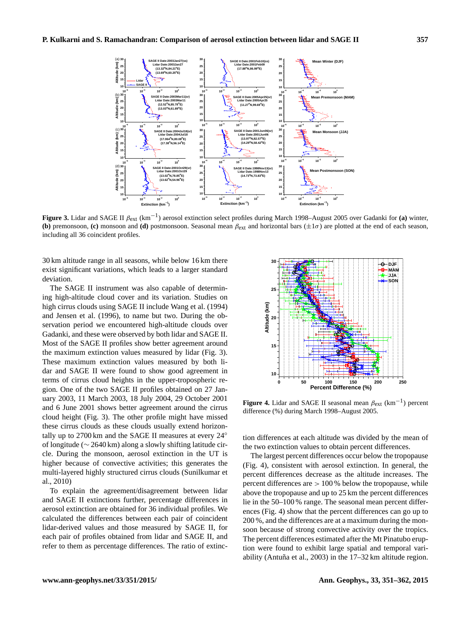

**Figure 3.** Lidar and SAGE II <sup>β</sup>ext (km−<sup>1</sup> ) aerosol extinction select profiles during March 1998–August 2005 over Gadanki for **(a)** winter, **(b)** premonsoon, **(c)** monsoon and **(d)** postmonsoon. Seasonal mean  $\beta_{ext}$  and horizontal bars ( $\pm 1\sigma$ ) are plotted at the end of each season, including all 36 coincident profiles.

30 km altitude range in all seasons, while below 16 km there exist significant variations, which leads to a larger standard deviation.

The SAGE II instrument was also capable of determining high-altitude cloud cover and its variation. Studies on high cirrus clouds using SAGE II include Wang et al. (1994) and Jensen et al. (1996), to name but two. During the observation period we encountered high-altitude clouds over Gadanki, and these were observed by both lidar and SAGE II. Most of the SAGE II profiles show better agreement around the maximum extinction values measured by lidar (Fig. 3). These maximum extinction values measured by both lidar and SAGE II were found to show good agreement in terms of cirrus cloud heights in the upper-tropospheric region. One of the two SAGE II profiles obtained on 27 January 2003, 11 March 2003, 18 July 2004, 29 October 2001 and 6 June 2001 shows better agreement around the cirrus cloud height (Fig. 3). The other profile might have missed these cirrus clouds as these clouds usually extend horizontally up to 2700 km and the SAGE II measures at every 24◦ of longitude (∼ 2640 km) along a slowly shifting latitude circle. During the monsoon, aerosol extinction in the UT is higher because of convective activities; this generates the multi-layered highly structured cirrus clouds (Sunilkumar et al., 2010)

To explain the agreement/disagreement between lidar and SAGE II extinctions further, percentage differences in aerosol extinction are obtained for 36 individual profiles. We calculated the differences between each pair of coincident lidar-derived values and those measured by SAGE II, for each pair of profiles obtained from lidar and SAGE II, and refer to them as percentage differences. The ratio of extinc-



**Figure 4.** Lidar and SAGE II seasonal mean  $\beta_{ext}$  (km<sup>-1</sup>) percent difference (%) during March 1998–August 2005.

tion differences at each altitude was divided by the mean of the two extinction values to obtain percent differences.

The largest percent differences occur below the tropopause (Fig. 4), consistent with aerosol extinction. In general, the percent differences decrease as the altitude increases. The percent differences are  $> 100\%$  below the tropopause, while above the tropopause and up to 25 km the percent differences lie in the 50–100 % range. The seasonal mean percent differences (Fig. 4) show that the percent differences can go up to 200 %, and the differences are at a maximum during the monsoon because of strong convective activity over the tropics. The percent differences estimated after the Mt Pinatubo eruption were found to exhibit large spatial and temporal variability (Antuña et al., 2003) in the 17–32 km altitude region.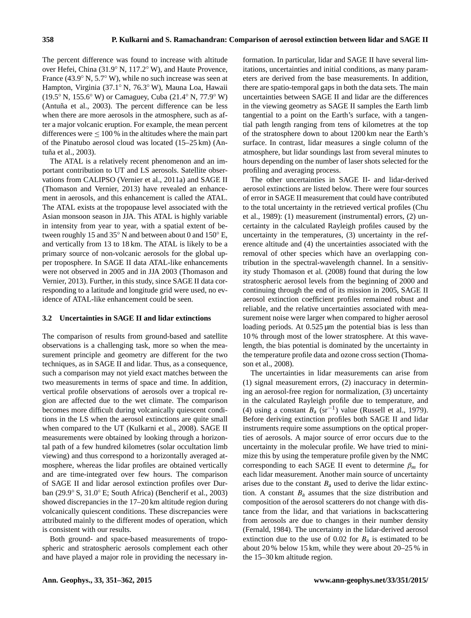The percent difference was found to increase with altitude over Hefei, China (31.9◦ N, 117.2◦ W), and Haute Provence, France (43.9◦ N, 5.7◦ W), while no such increase was seen at Hampton, Virginia (37.1◦ N, 76.3◦ W), Mauna Loa, Hawaii (19.5◦ N, 155.6◦ W) or Camaguey, Cuba (21.4◦ N, 77.9◦ W) (Antuña et al., 2003). The percent difference can be less when there are more aerosols in the atmosphere, such as after a major volcanic eruption. For example, the mean percent differences were  $\leq 100\%$  in the altitudes where the main part of the Pinatubo aerosol cloud was located (15–25 km) (Antuña et al., 2003).

The ATAL is a relatively recent phenomenon and an important contribution to UT and LS aerosols. Satellite observations from CALIPSO (Vernier et al., 2011a) and SAGE II (Thomason and Vernier, 2013) have revealed an enhancement in aerosols, and this enhancement is called the ATAL. The ATAL exists at the tropopause level associated with the Asian monsoon season in JJA. This ATAL is highly variable in intensity from year to year, with a spatial extent of between roughly 15 and 35◦ N and between about 0 and 150◦ E, and vertically from 13 to 18 km. The ATAL is likely to be a primary source of non-volcanic aerosols for the global upper troposphere. In SAGE II data ATAL-like enhancements were not observed in 2005 and in JJA 2003 (Thomason and Vernier, 2013). Further, in this study, since SAGE II data corresponding to a latitude and longitude grid were used, no evidence of ATAL-like enhancement could be seen.

## **3.2 Uncertainties in SAGE II and lidar extinctions**

The comparison of results from ground-based and satellite observations is a challenging task, more so when the measurement principle and geometry are different for the two techniques, as in SAGE II and lidar. Thus, as a consequence, such a comparison may not yield exact matches between the two measurements in terms of space and time. In addition, vertical profile observations of aerosols over a tropical region are affected due to the wet climate. The comparison becomes more difficult during volcanically quiescent conditions in the LS when the aerosol extinctions are quite small when compared to the UT (Kulkarni et al., 2008). SAGE II measurements were obtained by looking through a horizontal path of a few hundred kilometres (solar occultation limb viewing) and thus correspond to a horizontally averaged atmosphere, whereas the lidar profiles are obtained vertically and are time-integrated over few hours. The comparison of SAGE II and lidar aerosol extinction profiles over Durban (29.9◦ S, 31.0◦ E; South Africa) (Bencherif et al., 2003) showed discrepancies in the 17–20 km altitude region during volcanically quiescent conditions. These discrepancies were attributed mainly to the different modes of operation, which is consistent with our results.

Both ground- and space-based measurements of tropospheric and stratospheric aerosols complement each other and have played a major role in providing the necessary in-

formation. In particular, lidar and SAGE II have several limitations, uncertainties and initial conditions, as many parameters are derived from the base measurements. In addition, there are spatio-temporal gaps in both the data sets. The main uncertainties between SAGE II and lidar are the differences in the viewing geometry as SAGE II samples the Earth limb tangential to a point on the Earth's surface, with a tangential path length ranging from tens of kilometres at the top of the stratosphere down to about 1200 km near the Earth's surface. In contrast, lidar measures a single column of the atmosphere, but lidar soundings last from several minutes to hours depending on the number of laser shots selected for the profiling and averaging process.

The other uncertainties in SAGE II- and lidar-derived aerosol extinctions are listed below. There were four sources of error in SAGE II measurement that could have contributed to the total uncertainty in the retrieved vertical profiles (Chu et al., 1989): (1) measurement (instrumental) errors, (2) uncertainty in the calculated Rayleigh profiles caused by the uncertainty in the temperatures, (3) uncertainty in the reference altitude and (4) the uncertainties associated with the removal of other species which have an overlapping contribution in the spectral-wavelength channel. In a sensitivity study Thomason et al. (2008) found that during the low stratospheric aerosol levels from the beginning of 2000 and continuing through the end of its mission in 2005, SAGE II aerosol extinction coefficient profiles remained robust and reliable, and the relative uncertainties associated with measurement noise were larger when compared to higher aerosol loading periods. At 0.525 µm the potential bias is less than 10 % through most of the lower stratosphere. At this wavelength, the bias potential is dominated by the uncertainty in the temperature profile data and ozone cross section (Thomason et al., 2008).

The uncertainties in lidar measurements can arise from (1) signal measurement errors, (2) inaccuracy in determining an aerosol-free region for normalization, (3) uncertainty in the calculated Rayleigh profile due to temperature, and (4) using a constant  $B_a$  (sr<sup>-1</sup>) value (Russell et al., 1979). Before deriving extinction profiles both SAGE II and lidar instruments require some assumptions on the optical properties of aerosols. A major source of error occurs due to the uncertainty in the molecular profile. We have tried to minimize this by using the temperature profile given by the NMC corresponding to each SAGE II event to determine  $\beta_m$  for each lidar measurement. Another main source of uncertainty arises due to the constant  $B_a$  used to derive the lidar extinction. A constant  $B_a$  assumes that the size distribution and composition of the aerosol scatterers do not change with distance from the lidar, and that variations in backscattering from aerosols are due to changes in their number density (Fernald, 1984). The uncertainty in the lidar-derived aerosol extinction due to the use of 0.02 for  $B_a$  is estimated to be about 20 % below 15 km, while they were about 20–25 % in the 15–30 km altitude region.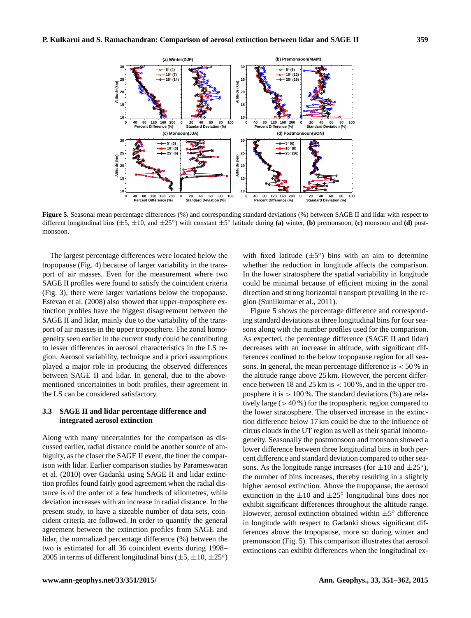

**0 40 80 120 160 200**

**Percent Difference (%)**

**Figure 5.** Seasonal mean percentage differences (%) and corresponding standard deviations (%) between SAGE II and lidar with respect to different longitudinal bins  $(\pm 5, \pm 10, \text{ and } \pm 25^\circ)$  with constant  $\pm 5^\circ$  latitude during **(a)** winter, **(b)** premonsoon, **(c)** monsoon and **(d)** postmonsoon.

**10**

**0 20 40 60 80 100 Standard Deviation (%)**

The largest percentage differences were located below the tropopause (Fig. 4) because of larger variability in the transport of air masses. Even for the measurement where two SAGE II profiles were found to satisfy the coincident criteria (Fig. 3), there were larger variations below the tropopause. Estevan et al. (2008) also showed that upper-troposphere extinction profiles have the biggest disagreement between the SAGE II and lidar, mainly due to the variability of the transport of air masses in the upper troposphere. The zonal homogeneity seen earlier in the current study could be contributing to lesser differences in aerosol characteristics in the LS region. Aerosol variability, technique and a priori assumptions played a major role in producing the observed differences between SAGE II and lidar. In general, due to the abovementioned uncertainties in both profiles, their agreement in the LS can be considered satisfactory.

**0 40 80 120 160 200 Percent Difference (%)**

**Altitude (km)**

**10**

**Altitude (km)**

## **3.3 SAGE II and lidar percentage difference and integrated aerosol extinction**

Along with many uncertainties for the comparison as discussed earlier, radial distance could be another source of ambiguity, as the closer the SAGE II event, the finer the comparison with lidar. Earlier comparison studies by Parameswaran et al. (2010) over Gadanki using SAGE II and lidar extinction profiles found fairly good agreement when the radial distance is of the order of a few hundreds of kilometres, while deviation increases with an increase in radial distance. In the present study, to have a sizeable number of data sets, coincident criteria are followed. In order to quantify the general agreement between the extinction profiles from SAGE and lidar, the normalized percentage difference (%) between the two is estimated for all 36 coincident events during 1998– 2005 in terms of different longitudinal bins  $(\pm 5, \pm 10, \pm 25^{\circ})$ 

with fixed latitude  $(\pm 5^{\circ})$  bins with an aim to determine whether the reduction in longitude affects the comparison. In the lower stratosphere the spatial variability in longitude could be minimal because of efficient mixing in the zonal direction and strong horizontal transport prevailing in the region (Sunilkumar et al., 2011).

**0 20 40 60 80 100 Standard Deviation (%)**

Figure 5 shows the percentage difference and corresponding standard deviations at three longitudinal bins for four seasons along with the number profiles used for the comparison. As expected, the percentage difference (SAGE II and lidar) decreases with an increase in altitude, with significant differences confined to the below tropopause region for all seasons. In general, the mean percentage difference is  $< 50 %$  in the altitude range above 25 km. However, the percent difference between 18 and 25 km is  $< 100\%$ , and in the upper troposphere it is  $> 100\%$ . The standard deviations (%) are relatively large (> 40 %) for the tropospheric region compared to the lower stratosphere. The observed increase in the extinction difference below 17 km could be due to the influence of cirrus clouds in the UT region as well as their spatial inhomogeneity. Seasonally the postmonsoon and monsoon showed a lower difference between three longitudinal bins in both percent difference and standard deviation compared to other seasons. As the longitude range increases (for  $\pm 10$  and  $\pm 25^{\circ}$ ), the number of bins increases, thereby resulting in a slightly higher aerosol extinction. Above the tropopause, the aerosol extinction in the  $\pm 10$  and  $\pm 25^\circ$  longitudinal bins does not exhibit significant differences throughout the altitude range. However, aerosol extinction obtained within  $\pm 5^{\circ}$  difference in longitude with respect to Gadanki shows significant differences above the tropopause, more so during winter and premonsoon (Fig. 5). This comparison illustrates that aerosol extinctions can exhibit differences when the longitudinal ex-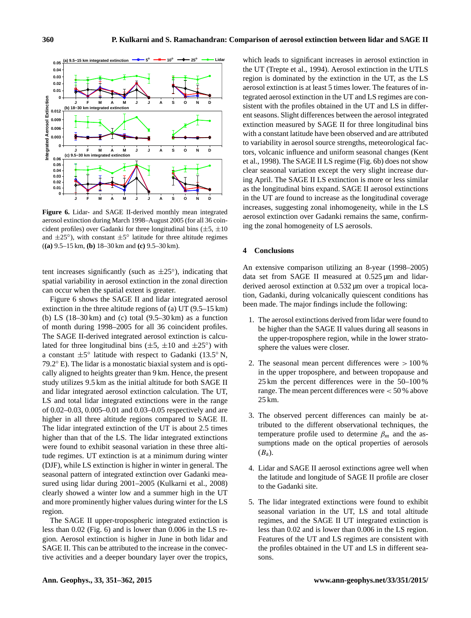

**Figure 6.** Lidar- and SAGE II-derived monthly mean integrated aerosol extinction during March 1998–August 2005 (for all 36 coincident profiles) over Gadanki for three longitudinal bins  $(\pm 5, \pm 10)$ and  $\pm 25^{\circ}$ ), with constant  $\pm 5^{\circ}$  latitude for three altitude regimes (**(a)** 9.5–15 km, **(b)** 18–30 km and **(c)** 9.5–30 km).

tent increases significantly (such as  $\pm 25^{\circ}$ ), indicating that spatial variability in aerosol extinction in the zonal direction can occur when the spatial extent is greater.

Figure 6 shows the SAGE II and lidar integrated aerosol extinction in the three altitude regions of (a) UT (9.5–15 km) (b) LS  $(18-30 \text{ km})$  and (c) total  $(9.5-30 \text{ km})$  as a function of month during 1998–2005 for all 36 coincident profiles. The SAGE II-derived integrated aerosol extinction is calculated for three longitudinal bins  $(\pm 5, \pm 10$  and  $\pm 25^{\circ})$  with a constant  $\pm 5^{\circ}$  latitude with respect to Gadanki (13.5° N, 79.2◦ E). The lidar is a monostatic biaxial system and is optically aligned to heights greater than 9 km. Hence, the present study utilizes 9.5 km as the initial altitude for both SAGE II and lidar integrated aerosol extinction calculation. The UT, LS and total lidar integrated extinctions were in the range of 0.02–0.03, 0.005–0.01 and 0.03–0.05 respectively and are higher in all three altitude regions compared to SAGE II. The lidar integrated extinction of the UT is about 2.5 times higher than that of the LS. The lidar integrated extinctions were found to exhibit seasonal variation in these three altitude regimes. UT extinction is at a minimum during winter (DJF), while LS extinction is higher in winter in general. The seasonal pattern of integrated extinction over Gadanki measured using lidar during 2001–2005 (Kulkarni et al., 2008) clearly showed a winter low and a summer high in the UT and more prominently higher values during winter for the LS region.

The SAGE II upper-tropospheric integrated extinction is less than 0.02 (Fig. 6) and is lower than 0.006 in the LS region. Aerosol extinction is higher in June in both lidar and SAGE II. This can be attributed to the increase in the convective activities and a deeper boundary layer over the tropics,

which leads to significant increases in aerosol extinction in the UT (Trepte et al., 1994). Aerosol extinction in the UTLS region is dominated by the extinction in the UT, as the LS aerosol extinction is at least 5 times lower. The features of integrated aerosol extinction in the UT and LS regimes are consistent with the profiles obtained in the UT and LS in different seasons. Slight differences between the aerosol integrated extinction measured by SAGE II for three longitudinal bins with a constant latitude have been observed and are attributed to variability in aerosol source strengths, meteorological factors, volcanic influence and uniform seasonal changes (Kent et al., 1998). The SAGE II LS regime (Fig. 6b) does not show clear seasonal variation except the very slight increase during April. The SAGE II LS extinction is more or less similar as the longitudinal bins expand. SAGE II aerosol extinctions in the UT are found to increase as the longitudinal coverage increases, suggesting zonal inhomogeneity, while in the LS aerosol extinction over Gadanki remains the same, confirming the zonal homogeneity of LS aerosols.

#### **4 Conclusions**

An extensive comparison utilizing an 8-year (1998–2005) data set from SAGE II measured at 0.525 µm and lidarderived aerosol extinction at 0.532  $\mu$ m over a tropical location, Gadanki, during volcanically quiescent conditions has been made. The major findings include the following:

- 1. The aerosol extinctions derived from lidar were found to be higher than the SAGE II values during all seasons in the upper-troposphere region, while in the lower stratosphere the values were closer.
- 2. The seasonal mean percent differences were  $>100\%$ in the upper troposphere, and between tropopause and 25 km the percent differences were in the 50–100 % range. The mean percent differences were < 50 % above 25 km.
- 3. The observed percent differences can mainly be attributed to the different observational techniques, the temperature profile used to determine  $\beta_m$  and the assumptions made on the optical properties of aerosols  $(B<sub>a</sub>)$ .
- 4. Lidar and SAGE II aerosol extinctions agree well when the latitude and longitude of SAGE II profile are closer to the Gadanki site.
- 5. The lidar integrated extinctions were found to exhibit seasonal variation in the UT, LS and total altitude regimes, and the SAGE II UT integrated extinction is less than 0.02 and is lower than 0.006 in the LS region. Features of the UT and LS regimes are consistent with the profiles obtained in the UT and LS in different seasons.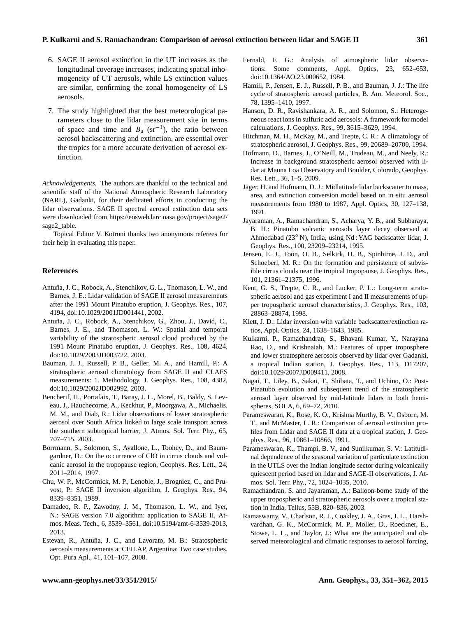#### **P. Kulkarni and S. Ramachandran: Comparison of aerosol extinction between lidar and SAGE II 361**

- 6. SAGE II aerosol extinction in the UT increases as the longitudinal coverage increases, indicating spatial inhomogeneity of UT aerosols, while LS extinction values are similar, confirming the zonal homogeneity of LS aerosols.
- 7. The study highlighted that the best meteorological parameters close to the lidar measurement site in terms of space and time and  $B_a$  (sr<sup>-1</sup>), the ratio between aerosol backscattering and extinction, are essential over the tropics for a more accurate derivation of aerosol extinction.

*Acknowledgements.* The authors are thankful to the technical and scientific staff of the National Atmospheric Research Laboratory (NARL), Gadanki, for their dedicated efforts in conducting the lidar observations. SAGE II spectral aerosol extinction data sets were downloaded from [https://eosweb.larc.nasa.gov/project/sage2/](https://eosweb.larc.nasa.gov/project/sage2/sage2_table) [sage2\\_table.](https://eosweb.larc.nasa.gov/project/sage2/sage2_table)

Topical Editor V. Kotroni thanks two anonymous referees for their help in evaluating this paper.

#### **References**

- Antuña, J. C., Robock, A., Stenchikov, G. L., Thomason, L. W., and Barnes, J. E.: Lidar validation of SAGE II aerosol measurements after the 1991 Mount Pinatubo eruption, J. Geophys. Res., 107, 4194, doi[:10.1029/2001JD001441,](http://dx.doi.org/10.1029/2001JD001441) 2002.
- Antuña, J. C., Robock, A., Stenchikov, G., Zhou, J., David, C., Barnes, J. E., and Thomason, L. W.: Spatial and temporal variability of the stratospheric aerosol cloud produced by the 1991 Mount Pinatubo eruption, J. Geophys. Res., 108, 4624, doi[:10.1029/2003JD003722,](http://dx.doi.org/10.1029/2003JD003722) 2003.
- Bauman, J. J., Russell, P. B., Geller, M. A., and Hamill, P.: A stratospheric aerosol climatology from SAGE II and CLAES measurements: 1. Methodology, J. Geophys. Res., 108, 4382, doi[:10.1029/2002JD002992,](http://dx.doi.org/10.1029/2002JD002992) 2003.
- Bencherif, H., Portafaix, T., Baray, J. L., Morel, B., Baldy, S. Leveau, J., Hauchecorne, A., Keckhut, P., Moorgawa, A., Michaelis, M. M., and Diab, R.: Lidar observations of lower stratospheric aerosol over South Africa linked to large scale transport across the southern subtropical barrier, J. Atmos. Sol. Terr. Phy., 65, 707–715, 2003.
- Borrmann, S., Solomon, S., Avallone, L., Toohey, D., and Baumgardner, D.: On the occurrence of ClO in cirrus clouds and volcanic aerosol in the tropopause region, Geophys. Res. Lett., 24, 2011–2014, 1997.
- Chu, W. P., McCormick, M. P., Lenoble, J., Brogniez, C., and Pruvost, P.: SAGE II inversion algorithm, J. Geophys. Res., 94, 8339–8351, 1989.
- Damadeo, R. P., Zawodny, J. M., Thomason, L. W., and Iyer, N.: SAGE version 7.0 algorithm: application to SAGE II, Atmos. Meas. Tech., 6, 3539–3561, doi[:10.5194/amt-6-3539-2013,](http://dx.doi.org/10.5194/amt-6-3539-2013) 2013.
- Estevan, R., Antuña, J. C., and Lavorato, M. B.: Stratospheric aerosols measurements at CEILAP, Argentina: Two case studies, Opt. Pura Apl., 41, 101–107, 2008.
- Fernald, F. G.: Analysis of atmospheric lidar observations: Some comments, Appl. Optics, 23, 652–653, doi[:10.1364/AO.23.000652,](http://dx.doi.org/10.1364/AO.23.000652) 1984.
- Hamill, P., Jensen, E. J., Russell, P. B., and Bauman, J. J.: The life cycle of stratospheric aerosol particles, B. Am. Meteorol. Soc., 78, 1395–1410, 1997.
- Hanson, D. R., Ravishankara, A. R., and Solomon, S.: Heterogeneous react ions in sulfuric acid aerosols: A framework for model calculations, J. Geophys. Res., 99, 3615–3629, 1994.
- Hitchman, M. H., McKay, M., and Trepte, C. R.: A climatology of stratospheric aerosol, J. Geophys. Res., 99, 20689–20700, 1994.
- Hofmann, D., Barnes, J., O'Neill, M., Trudeau, M., and Neely, R.: Increase in background stratospheric aerosol observed with lidar at Mauna Loa Observatory and Boulder, Colorado, Geophys. Res. Lett., 36, 1–5, 2009.
- Jäger, H. and Hofmann, D. J.: Midlatitude lidar backscatter to mass, area, and extinction conversion model based on in situ aerosol measurements from 1980 to 1987, Appl. Optics, 30, 127–138, 1991.
- Jayaraman, A., Ramachandran, S., Acharya, Y. B., and Subbaraya, B. H.: Pinatubo volcanic aerosols layer decay observed at Ahmedabad (23◦ N), India, using Nd : YAG backscatter lidar, J. Geophys. Res., 100, 23209–23214, 1995.
- Jensen, E. J., Toon, O. B., Selkirk, H. B., Spinhirne, J. D., and Schoeberl, M. R.: On the formation and persistence of subvisible cirrus clouds near the tropical tropopause, J. Geophys. Res., 101, 21361–21375, 1996.
- Kent, G. S., Trepte, C. R., and Lucker, P. L.: Long-term stratospheric aerosol and gas experiment I and II measurements of upper tropospheric aerosol characteristics, J. Geophys. Res., 103, 28863–28874, 1998.
- Klett, J. D.: Lidar inversion with variable backscatter/extinction ratios, Appl. Optics, 24, 1638–1643, 1985.
- Kulkarni, P., Ramachandran, S., Bhavani Kumar, Y., Narayana Rao, D., and Krishnaiah, M.: Features of upper troposphere and lower stratosphere aerosols observed by lidar over Gadanki, a tropical Indian station, J. Geophys. Res., 113, D17207, doi[:10.1029/2007JD009411,](http://dx.doi.org/10.1029/2007JD009411) 2008.
- Nagai, T., Liley, B., Sakai, T., Shibata, T., and Uchino, O.: Post-Pinatubo evolution and subsequent trend of the stratospheric aerosol layer observed by mid-latitude lidars in both hemispheres, SOLA, 6, 69–72, 2010.
- Parameswaran, K., Rose, K. O., Krishna Murthy, B. V., Osborn, M. T., and McMaster, L. R.: Comparison of aerosol extinction profiles from Lidar and SAGE II data at a tropical station, J. Geophys. Res., 96, 10861–10866, 1991.
- Parameswaran, K., Thampi, B. V., and Sunilkumar, S. V.: Latitudinal dependence of the seasonal variation of particulate extinction in the UTLS over the Indian longitude sector during volcanically quiescent period based on lidar and SAGE-II observations, J. Atmos. Sol. Terr. Phy., 72, 1024–1035, 2010.
- Ramachandran, S. and Jayaraman, A.: Balloon-borne study of the upper tropospheric and stratospheric aerosols over a tropical station in India, Tellus, 55B, 820–836, 2003.
- Ramaswamy, V., Charlson, R. J., Coakley, J. A., Gras, J. L., Harshvardhan, G. K., McCormick, M. P., Moller, D., Roeckner, E., Stowe, L. L., and Taylor, J.: What are the anticipated and observed meteorological and climatic responses to aerosol forcing,